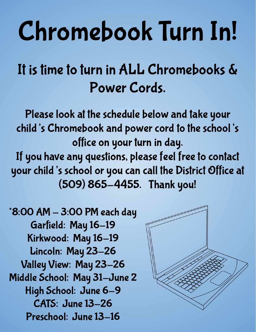## Chromebook Turn In!

## It is time to turn in ALL Chromebooks & Power Cords.

Please look at the schedule below and take your child's Chromebook and power cord to the school's office on your turn in day. If you have any questions, please feel free to contact your child's school or you can call the District Office at (509) 865-4455. Thank you!

 $*8:00$  AM  $-$  3:00 PM each day Garfield: May 16-19 Kirkwood: May 16-19 Lincoln: May 23-26 Valley View: May 23-26 Middle School: May 31-June 2 High School: June 6-9 CATS: June 13-26 Preschool: June 13-16